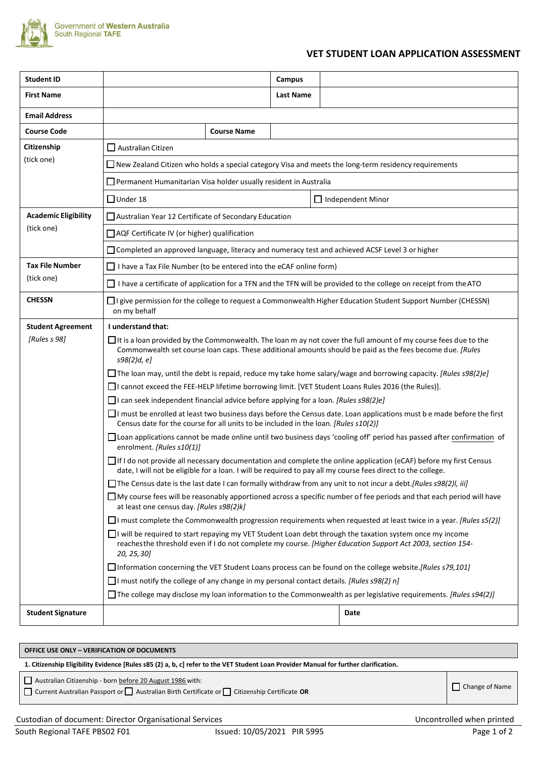

## **VET STUDENT LOAN APPLICATION ASSESSMENT**

| <b>Student ID</b>           |                                                                                                                                                                                                                                                                                                                                                                                                  |                    | Campus           |  |                                                                                                                          |  |  |
|-----------------------------|--------------------------------------------------------------------------------------------------------------------------------------------------------------------------------------------------------------------------------------------------------------------------------------------------------------------------------------------------------------------------------------------------|--------------------|------------------|--|--------------------------------------------------------------------------------------------------------------------------|--|--|
| <b>First Name</b>           |                                                                                                                                                                                                                                                                                                                                                                                                  |                    | <b>Last Name</b> |  |                                                                                                                          |  |  |
| <b>Email Address</b>        |                                                                                                                                                                                                                                                                                                                                                                                                  |                    |                  |  |                                                                                                                          |  |  |
| <b>Course Code</b>          |                                                                                                                                                                                                                                                                                                                                                                                                  | <b>Course Name</b> |                  |  |                                                                                                                          |  |  |
| Citizenship                 | $\Box$ Australian Citizen                                                                                                                                                                                                                                                                                                                                                                        |                    |                  |  |                                                                                                                          |  |  |
| (tick one)                  | $\Box$ New Zealand Citizen who holds a special category Visa and meets the long-term residency requirements                                                                                                                                                                                                                                                                                      |                    |                  |  |                                                                                                                          |  |  |
|                             | $\Box$ Permanent Humanitarian Visa holder usually resident in Australia                                                                                                                                                                                                                                                                                                                          |                    |                  |  |                                                                                                                          |  |  |
|                             | $\Box$ Under 18<br>$\Box$ Independent Minor                                                                                                                                                                                                                                                                                                                                                      |                    |                  |  |                                                                                                                          |  |  |
| <b>Academic Eligibility</b> | Australian Year 12 Certificate of Secondary Education                                                                                                                                                                                                                                                                                                                                            |                    |                  |  |                                                                                                                          |  |  |
| (tick one)                  | AQF Certificate IV (or higher) qualification                                                                                                                                                                                                                                                                                                                                                     |                    |                  |  |                                                                                                                          |  |  |
|                             | $\Box$ Completed an approved language, literacy and numeracy test and achieved ACSF Level 3 or higher                                                                                                                                                                                                                                                                                            |                    |                  |  |                                                                                                                          |  |  |
| <b>Tax File Number</b>      | $\Box$ I have a Tax File Number (to be entered into the eCAF online form)                                                                                                                                                                                                                                                                                                                        |                    |                  |  |                                                                                                                          |  |  |
| (tick one)                  |                                                                                                                                                                                                                                                                                                                                                                                                  |                    |                  |  | $\Box$ I have a certificate of application for a TFN and the TFN will be provided to the college on receipt from the ATO |  |  |
| <b>CHESSN</b>               | $\Box$ I give permission for the college to request a Commonwealth Higher Education Student Support Number (CHESSN)<br>on my behalf                                                                                                                                                                                                                                                              |                    |                  |  |                                                                                                                          |  |  |
| <b>Student Agreement</b>    | I understand that:                                                                                                                                                                                                                                                                                                                                                                               |                    |                  |  |                                                                                                                          |  |  |
| [Rules s 98]                | □ It is a loan provided by the Commonwealth. The loan m ay not cover the full amount of my course fees due to the<br>Commonwealth set course loan caps. These additional amounts should be paid as the fees become due. [Rules<br>s98(2)d, e]                                                                                                                                                    |                    |                  |  |                                                                                                                          |  |  |
|                             | The loan may, until the debt is repaid, reduce my take home salary/wage and borrowing capacity. [Rules s98(2)e]                                                                                                                                                                                                                                                                                  |                    |                  |  |                                                                                                                          |  |  |
|                             | □ cannot exceed the FEE-HELP lifetime borrowing limit. [VET Student Loans Rules 2016 (the Rules)].                                                                                                                                                                                                                                                                                               |                    |                  |  |                                                                                                                          |  |  |
|                             | $\Box$ I can seek independent financial advice before applying for a loan. [Rules s98(2)e]                                                                                                                                                                                                                                                                                                       |                    |                  |  |                                                                                                                          |  |  |
|                             | □ I must be enrolled at least two business days before the Census date. Loan applications must be made before the first<br>Census date for the course for all units to be included in the loan. [Rules s10(2)]                                                                                                                                                                                   |                    |                  |  |                                                                                                                          |  |  |
|                             | □ Loan applications cannot be made online until two business days 'cooling off' period has passed after confirmation of<br>enrolment. [Rules s10(1)]<br>$\Box$ If I do not provide all necessary documentation and complete the online application (eCAF) before my first Census<br>date, I will not be eligible for a loan. I will be required to pay all my course fees direct to the college. |                    |                  |  |                                                                                                                          |  |  |
|                             |                                                                                                                                                                                                                                                                                                                                                                                                  |                    |                  |  |                                                                                                                          |  |  |
|                             | □ The Census date is the last date I can formally withdraw from any unit to not incur a debt. [Rules s98(2)I, iii]                                                                                                                                                                                                                                                                               |                    |                  |  |                                                                                                                          |  |  |
|                             | □ My course fees will be reasonably apportioned across a specific number of fee periods and that each period will have<br>at least one census day. [Rules s98(2)k]<br>$\Box$ I must complete the Commonwealth progression requirements when requested at least twice in a year. [Rules s5(2)]                                                                                                    |                    |                  |  |                                                                                                                          |  |  |
|                             |                                                                                                                                                                                                                                                                                                                                                                                                  |                    |                  |  |                                                                                                                          |  |  |
|                             | I will be required to start repaying my VET Student Loan debt through the taxation system once my income<br>reaches the threshold even if I do not complete my course. [Higher Education Support Act 2003, section 154-<br>20, 25, 30]<br>Information concerning the VET Student Loans process can be found on the college website. [Rules s79,101]                                              |                    |                  |  |                                                                                                                          |  |  |
|                             |                                                                                                                                                                                                                                                                                                                                                                                                  |                    |                  |  |                                                                                                                          |  |  |
|                             | $\Box$ I must notify the college of any change in my personal contact details. [Rules s98(2) n]                                                                                                                                                                                                                                                                                                  |                    |                  |  |                                                                                                                          |  |  |
|                             | The college may disclose my loan information to the Commonwealth as per legislative requirements. [Rules s94(2)]                                                                                                                                                                                                                                                                                 |                    |                  |  |                                                                                                                          |  |  |
| <b>Student Signature</b>    |                                                                                                                                                                                                                                                                                                                                                                                                  |                    |                  |  | Date                                                                                                                     |  |  |

## **OFFICE USE ONLY – VERIFICATION OFDOCUMENTS**

**1. Citizenship Eligibility Evidence [Rules s85 (2) a, b, c] refer to the VET Student Loan Provider Manual for further clarification.**

□ Australian Citizenship - born before 20 August 1986 with: □ Current Australian Passport or ☐ Australian Birth Certificate or ☐ Citizenship Certificate **OR**

□ Change of Name

|  |  | Custodian of document: Director Organisational Services |  |
|--|--|---------------------------------------------------------|--|
|  |  |                                                         |  |